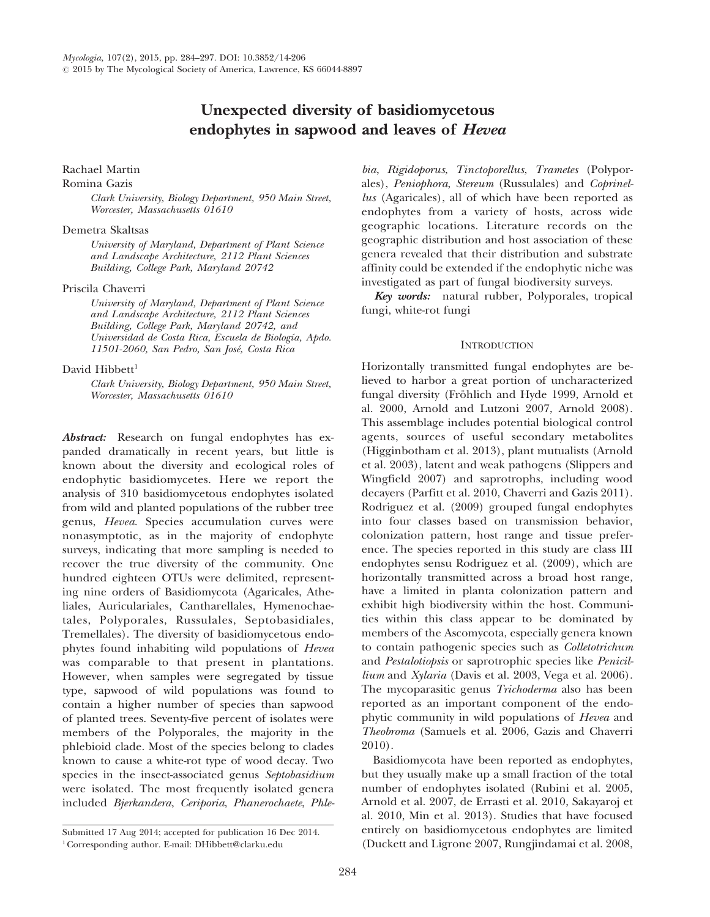# Unexpected diversity of basidiomycetous endophytes in sapwood and leaves of Hevea

### Rachael Martin

#### Romina Gazis

Clark University, Biology Department, 950 Main Street, Worcester, Massachusetts 01610

# Demetra Skaltsas

University of Maryland, Department of Plant Science and Landscape Architecture, 2112 Plant Sciences Building, College Park, Maryland 20742

#### Priscila Chaverri

University of Maryland, Department of Plant Science and Landscape Architecture, 2112 Plant Sciences Building, College Park, Maryland 20742, and Universidad de Costa Rica, Escuela de Biología, Apdo. 11501-2060, San Pedro, San José, Costa Rica

# David Hibbett<sup>1</sup>

Clark University, Biology Department, 950 Main Street, Worcester, Massachusetts 01610

Abstract: Research on fungal endophytes has expanded dramatically in recent years, but little is known about the diversity and ecological roles of endophytic basidiomycetes. Here we report the analysis of 310 basidiomycetous endophytes isolated from wild and planted populations of the rubber tree genus, Hevea. Species accumulation curves were nonasymptotic, as in the majority of endophyte surveys, indicating that more sampling is needed to recover the true diversity of the community. One hundred eighteen OTUs were delimited, representing nine orders of Basidiomycota (Agaricales, Atheliales, Auriculariales, Cantharellales, Hymenochaetales, Polyporales, Russulales, Septobasidiales, Tremellales). The diversity of basidiomycetous endophytes found inhabiting wild populations of Hevea was comparable to that present in plantations. However, when samples were segregated by tissue type, sapwood of wild populations was found to contain a higher number of species than sapwood of planted trees. Seventy-five percent of isolates were members of the Polyporales, the majority in the phlebioid clade. Most of the species belong to clades known to cause a white-rot type of wood decay. Two species in the insect-associated genus Septobasidium were isolated. The most frequently isolated genera included Bjerkandera, Ceriporia, Phanerochaete, Phle-

bia, Rigidoporus, Tinctoporellus, Trametes (Polyporales), Peniophora, Stereum (Russulales) and Coprinellus (Agaricales), all of which have been reported as endophytes from a variety of hosts, across wide geographic locations. Literature records on the geographic distribution and host association of these genera revealed that their distribution and substrate affinity could be extended if the endophytic niche was investigated as part of fungal biodiversity surveys.

Key words: natural rubber, Polyporales, tropical fungi, white-rot fungi

# **INTRODUCTION**

Horizontally transmitted fungal endophytes are believed to harbor a great portion of uncharacterized fungal diversity (Fröhlich and Hyde 1999, Arnold et al. 2000, Arnold and Lutzoni 2007, Arnold 2008). This assemblage includes potential biological control agents, sources of useful secondary metabolites (Higginbotham et al. 2013), plant mutualists (Arnold et al. 2003), latent and weak pathogens (Slippers and Wingfield 2007) and saprotrophs, including wood decayers (Parfitt et al. 2010, Chaverri and Gazis 2011). Rodriguez et al. (2009) grouped fungal endophytes into four classes based on transmission behavior, colonization pattern, host range and tissue preference. The species reported in this study are class III endophytes sensu Rodriguez et al. (2009), which are horizontally transmitted across a broad host range, have a limited in planta colonization pattern and exhibit high biodiversity within the host. Communities within this class appear to be dominated by members of the Ascomycota, especially genera known to contain pathogenic species such as Colletotrichum and Pestalotiopsis or saprotrophic species like Penicillium and Xylaria (Davis et al. 2003, Vega et al. 2006). The mycoparasitic genus *Trichoderma* also has been reported as an important component of the endophytic community in wild populations of Hevea and Theobroma (Samuels et al. 2006, Gazis and Chaverri 2010).

Basidiomycota have been reported as endophytes, but they usually make up a small fraction of the total number of endophytes isolated (Rubini et al. 2005, Arnold et al. 2007, de Errasti et al. 2010, Sakayaroj et al. 2010, Min et al. 2013). Studies that have focused entirely on basidiomycetous endophytes are limited (Duckett and Ligrone 2007, Rungjindamai et al. 2008,

Submitted 17 Aug 2014; accepted for publication 16 Dec 2014. 1Corresponding author. E-mail: DHibbett@clarku.edu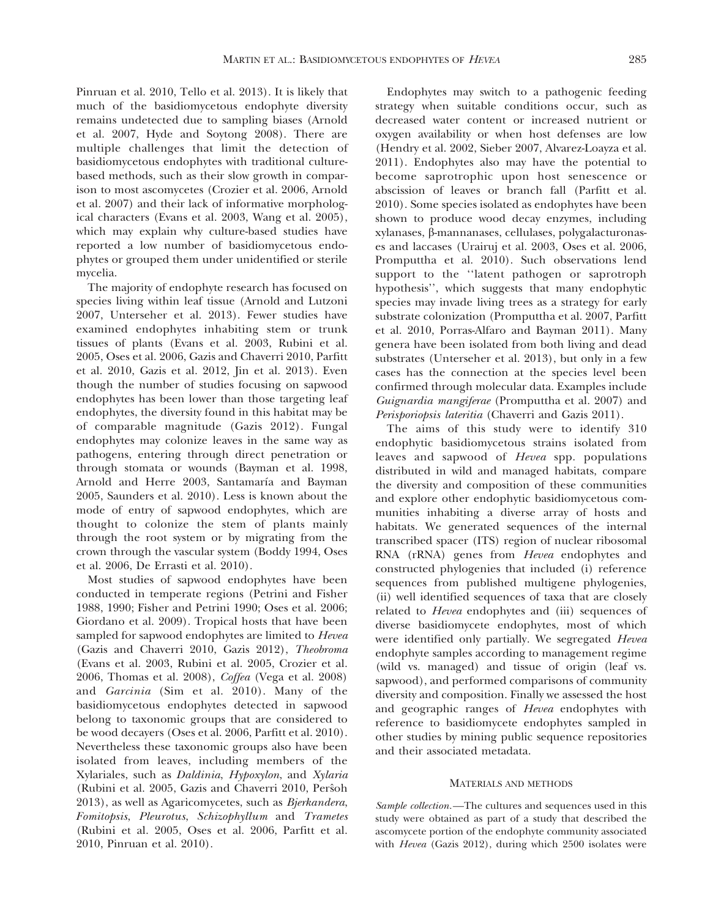Pinruan et al. 2010, Tello et al. 2013). It is likely that much of the basidiomycetous endophyte diversity remains undetected due to sampling biases (Arnold et al. 2007, Hyde and Soytong 2008). There are multiple challenges that limit the detection of basidiomycetous endophytes with traditional culturebased methods, such as their slow growth in comparison to most ascomycetes (Crozier et al. 2006, Arnold et al. 2007) and their lack of informative morphological characters (Evans et al. 2003, Wang et al. 2005), which may explain why culture-based studies have reported a low number of basidiomycetous endophytes or grouped them under unidentified or sterile mycelia.

The majority of endophyte research has focused on species living within leaf tissue (Arnold and Lutzoni 2007, Unterseher et al. 2013). Fewer studies have examined endophytes inhabiting stem or trunk tissues of plants (Evans et al. 2003, Rubini et al. 2005, Oses et al. 2006, Gazis and Chaverri 2010, Parfitt et al. 2010, Gazis et al. 2012, Jin et al. 2013). Even though the number of studies focusing on sapwood endophytes has been lower than those targeting leaf endophytes, the diversity found in this habitat may be of comparable magnitude (Gazis 2012). Fungal endophytes may colonize leaves in the same way as pathogens, entering through direct penetration or through stomata or wounds (Bayman et al. 1998, Arnold and Herre 2003, Santamaría and Bayman 2005, Saunders et al. 2010). Less is known about the mode of entry of sapwood endophytes, which are thought to colonize the stem of plants mainly through the root system or by migrating from the crown through the vascular system (Boddy 1994, Oses et al. 2006, De Errasti et al. 2010).

Most studies of sapwood endophytes have been conducted in temperate regions (Petrini and Fisher 1988, 1990; Fisher and Petrini 1990; Oses et al. 2006; Giordano et al. 2009). Tropical hosts that have been sampled for sapwood endophytes are limited to Hevea (Gazis and Chaverri 2010, Gazis 2012), Theobroma (Evans et al. 2003, Rubini et al. 2005, Crozier et al. 2006, Thomas et al. 2008), Coffea (Vega et al. 2008) and Garcinia (Sim et al. 2010). Many of the basidiomycetous endophytes detected in sapwood belong to taxonomic groups that are considered to be wood decayers (Oses et al. 2006, Parfitt et al. 2010). Nevertheless these taxonomic groups also have been isolated from leaves, including members of the Xylariales, such as Daldinia, Hypoxylon, and Xylaria (Rubini et al. 2005, Gazis and Chaverri 2010, Persoh 2013), as well as Agaricomycetes, such as Bjerkandera, Fomitopsis, Pleurotus, Schizophyllum and Trametes (Rubini et al. 2005, Oses et al. 2006, Parfitt et al. 2010, Pinruan et al. 2010).

Endophytes may switch to a pathogenic feeding strategy when suitable conditions occur, such as decreased water content or increased nutrient or oxygen availability or when host defenses are low (Hendry et al. 2002, Sieber 2007, Alvarez-Loayza et al. 2011). Endophytes also may have the potential to become saprotrophic upon host senescence or abscission of leaves or branch fall (Parfitt et al. 2010). Some species isolated as endophytes have been shown to produce wood decay enzymes, including xylanases, b-mannanases, cellulases, polygalacturonases and laccases (Urairuj et al. 2003, Oses et al. 2006, Promputtha et al. 2010). Such observations lend support to the ''latent pathogen or saprotroph hypothesis'', which suggests that many endophytic species may invade living trees as a strategy for early substrate colonization (Promputtha et al. 2007, Parfitt et al. 2010, Porras-Alfaro and Bayman 2011). Many genera have been isolated from both living and dead substrates (Unterseher et al. 2013), but only in a few cases has the connection at the species level been confirmed through molecular data. Examples include Guignardia mangiferae (Promputtha et al. 2007) and Perisporiopsis lateritia (Chaverri and Gazis 2011).

The aims of this study were to identify 310 endophytic basidiomycetous strains isolated from leaves and sapwood of Hevea spp. populations distributed in wild and managed habitats, compare the diversity and composition of these communities and explore other endophytic basidiomycetous communities inhabiting a diverse array of hosts and habitats. We generated sequences of the internal transcribed spacer (ITS) region of nuclear ribosomal RNA (rRNA) genes from Hevea endophytes and constructed phylogenies that included (i) reference sequences from published multigene phylogenies, (ii) well identified sequences of taxa that are closely related to Hevea endophytes and (iii) sequences of diverse basidiomycete endophytes, most of which were identified only partially. We segregated Hevea endophyte samples according to management regime (wild vs. managed) and tissue of origin (leaf vs. sapwood), and performed comparisons of community diversity and composition. Finally we assessed the host and geographic ranges of *Hevea* endophytes with reference to basidiomycete endophytes sampled in other studies by mining public sequence repositories and their associated metadata.

#### MATERIALS AND METHODS

Sample collection.—The cultures and sequences used in this study were obtained as part of a study that described the ascomycete portion of the endophyte community associated with Hevea (Gazis 2012), during which 2500 isolates were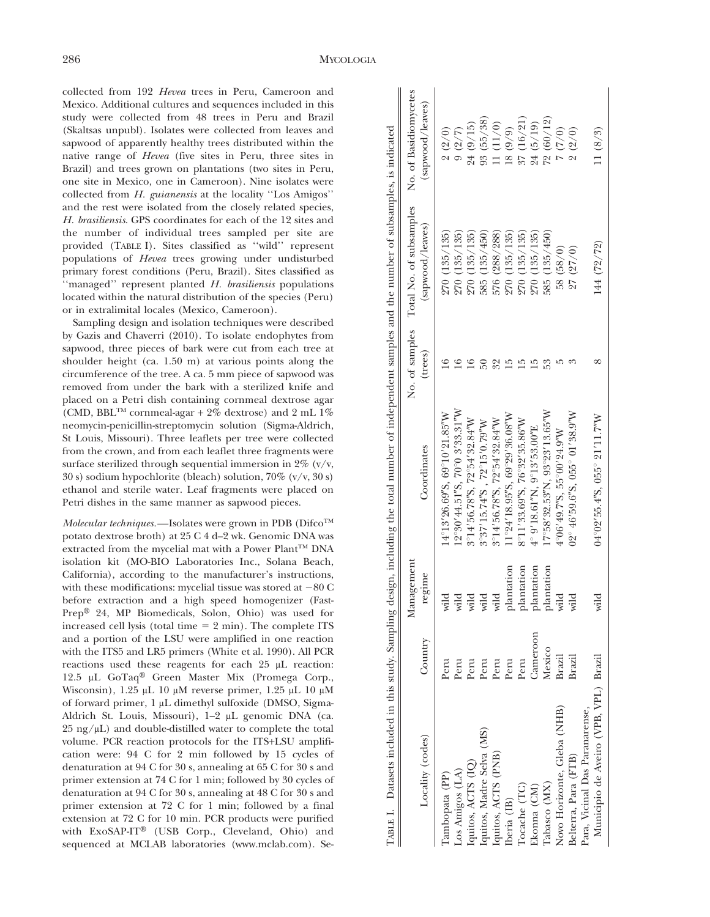collected from 192 Hevea trees in Peru, Cameroon and Mexico. Additional cultures and sequences included in this study were collected from 48 trees in Peru and Brazil (Skaltsas unpubl). Isolates were collected from leaves and sapwood of apparently healthy trees distributed within the native range of Hevea (five sites in Peru, three sites in Brazil) and trees grown on plantations (two sites in Peru, one site in Mexico, one in Cameroon). Nine isolates were collected from H. guianensis at the locality ''Los Amigos'' and the rest were isolated from the closely related species, H. brasiliensis. GPS coordinates for each of the 12 sites and the number of individual trees sampled per site are provided (TABLE I). Sites classified as ''wild'' represent populations of Hevea trees growing under undisturbed primary forest conditions (Peru, Brazil). Sites classified as ''managed'' represent planted H. brasiliensis populations located within the natural distribution of the species (Peru) or in extralimital locales (Mexico, Cameroon).

Sampling design and isolation techniques were described by Gazis and Chaverri (2010). To isolate endophytes from sapwood, three pieces of bark were cut from each tree at shoulder height (ca. 1.50 m) at various points along the circumference of the tree. A ca. 5 mm piece of sapwood was removed from under the bark with a sterilized knife and placed on a Petri dish containing cornmeal dextrose agar (CMD, BBL<sup>TM</sup> cornmeal-agar + 2% dextrose) and 2 mL 1% neomycin-penicillin-streptomycin solution (Sigma-Aldrich, St Louis, Missouri). Three leaflets per tree were collected from the crown, and from each leaflet three fragments were surface sterilized through sequential immersion in  $2\%$  (v/v, 30 s) sodium hypochlorite (bleach) solution, 70% (v/v, 30 s) ethanol and sterile water. Leaf fragments were placed on Petri dishes in the same manner as sapwood pieces.

Molecular techniques.—Isolates were grown in PDB ( $Difco^{TM}$ potato dextrose broth) at 25 C 4 d–2 wk. Genomic DNA was extracted from the mycelial mat with a Power Plant<sup>TM</sup> DNA isolation kit (MO-BIO Laboratories Inc., Solana Beach, California), according to the manufacturer's instructions, with these modifications: mycelial tissue was stored at  $-80$  C before extraction and a high speed homogenizer (Fast-Prep® 24, MP Biomedicals, Solon, Ohio) was used for increased cell lysis (total time  $= 2$  min). The complete ITS and a portion of the LSU were amplified in one reaction with the ITS5 and LR5 primers (White et al. 1990). All PCR reactions used these reagents for each 25  $\mu$ L reaction: 12.5 µL GoTaq® Green Master Mix (Promega Corp., Wisconsin),  $1.25 \mu L$  10  $\mu$ M reverse primer,  $1.25 \mu L$  10  $\mu$ M of forward primer, 1 µL dimethyl sulfoxide (DMSO, Sigma-Aldrich St. Louis, Missouri), 1-2 µL genomic DNA (ca.  $25 \text{ ng/µL}$ ) and double-distilled water to complete the total volume. PCR reaction protocols for the ITS+LSU amplification were: 94 C for 2 min followed by 15 cycles of denaturation at 94 C for 30 s, annealing at 65 C for 30 s and primer extension at 74 C for 1 min; followed by 30 cycles of denaturation at 94 C for 30 s, annealing at 48 C for 30 s and primer extension at 72 C for 1 min; followed by a final extension at 72 C for 10 min. PCR products were purified with  $ExoSAP-IT^@$  (USB Corp., Cleveland, Ohio) and (SMI)s user (which is total to the set in Pertic site in the se- Table in the se-<br>nature range of *Hero* (fire site in Peru, three sites in the control of Hero (we site so-<br>none site in the harmono, Number baot (we site s

|                                       |          | Management |                                                    |         | No. of samples Total No. of subsamples No. of Basidiomycetes |                  |
|---------------------------------------|----------|------------|----------------------------------------------------|---------|--------------------------------------------------------------|------------------|
| Locality (codes)                      | Country  | regime     | Coordinates                                        | (trees) | (sapwood/leaves)                                             | (sapwood/leaves) |
| Tambopata (PP)                        | Peru     | wild       | 14°13'26.69"S, 69°10'21.85"W                       |         | 270(135/135)                                                 | 2(2/0)           |
| Los Amigos (LA)                       | Peru     | wild       | 12°30'44.51"S, 70°0 3'33.31"W                      |         | 270(135/135)                                                 | 9(2/7)           |
| Iquitos, ACTS (IQ)                    | Peru     | wild       | 3°14'56.78"S, 72°54'32.84"W                        |         | 270(135/135)                                                 | 24(9/15)         |
| Iquitos, Madre Selva (MS)             | Peru     | wild       | 3°37'15.74"S, 72°15'0.79"W                         |         | 585 (135/450)                                                | 93(55/38)        |
| Iquitos, ACTS (PNB)                   | Peru     | wild       | 3°14'56.78"S, 72°54'32.84"W                        |         | 576 (288/288)                                                | 11(11/0)         |
| Iberia (IB)                           | Peru     | plantation | $11^{\circ}24'18.95''S$ , 69 $^{\circ}29'36.08''W$ |         | 270(135/135)                                                 | 18 (9/9)         |
| Tocache (TC)                          | Peru     | plantation | $8^{\circ}11'33.69''S$ , 76°32'35.86"W             |         | 270(135/135)                                                 | 37 (16/21)       |
| Ekonna (CM)                           | Cameroon | plantation | $4^{\circ}$ 9'18.61"N, 9°13'53.00"E                |         | 270(135/135)                                                 | 24 (5/19)        |
| [abasco (MX)                          | Mexico   | plantation | $17°58'32.53"$ N, $93°23'13.65"$ W                 |         | 585 (135/450)                                                | 72(60/12)        |
| Novo Horizonte, Gleba (NHB)           | Brazil   | wild       | 4°06'49.7"S, 55°00'24.9"W                          |         | 58 (58/0)                                                    | (0/1) 2          |
| Belterra, Para (FTB)                  | Brazil   | wild       | $02^{\circ}$ 46'59.6"S, 055° 01'38.9"W             |         | 27(27/0)                                                     | 2(2/0)           |
| Para, Vicinal Das Paranarense,        |          |            |                                                    |         |                                                              |                  |
| Municipio de Aveiro (VPB, VPL) Brazil |          | wild       | 04°02'55.4"S, 055° 21'11.7"W                       |         | 144 (72/72)                                                  | 11(8/3)          |
|                                       |          |            |                                                    |         |                                                              |                  |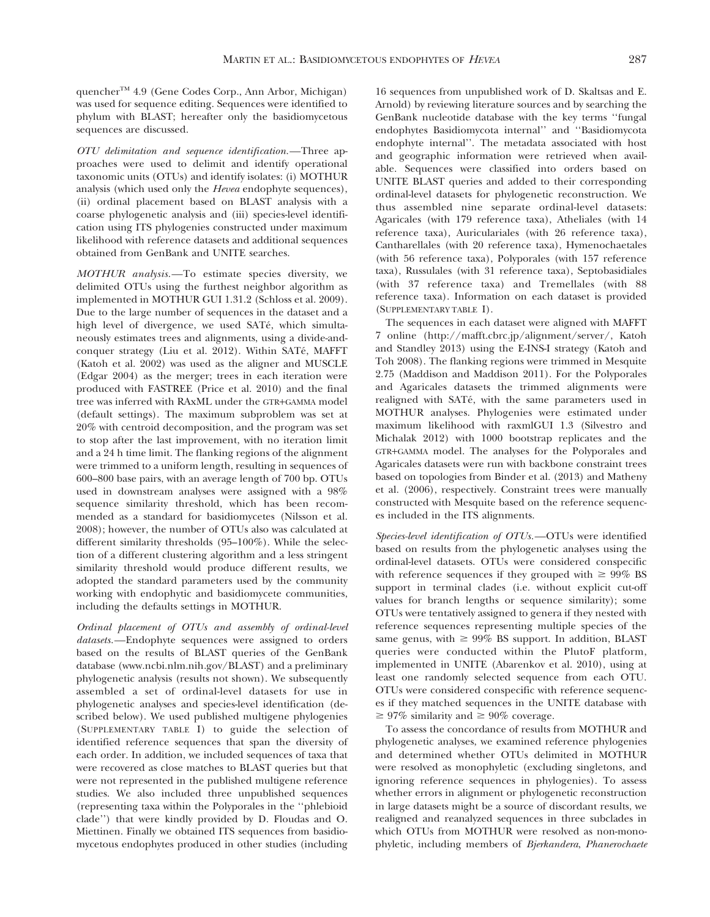quencher<sup>™</sup> 4.9 (Gene Codes Corp., Ann Arbor, Michigan) was used for sequence editing. Sequences were identified to phylum with BLAST; hereafter only the basidiomycetous sequences are discussed.

OTU delimitation and sequence identification.—Three approaches were used to delimit and identify operational taxonomic units (OTUs) and identify isolates: (i) MOTHUR analysis (which used only the *Hevea* endophyte sequences), (ii) ordinal placement based on BLAST analysis with a coarse phylogenetic analysis and (iii) species-level identification using ITS phylogenies constructed under maximum likelihood with reference datasets and additional sequences obtained from GenBank and UNITE searches.

MOTHUR analysis.—To estimate species diversity, we delimited OTUs using the furthest neighbor algorithm as implemented in MOTHUR GUI 1.31.2 (Schloss et al. 2009). Due to the large number of sequences in the dataset and a high level of divergence, we used SATé, which simultaneously estimates trees and alignments, using a divide-andconquer strategy (Liu et al. 2012). Within SATé, MAFFT (Katoh et al. 2002) was used as the aligner and MUSCLE (Edgar 2004) as the merger; trees in each iteration were produced with FASTREE (Price et al. 2010) and the final tree was inferred with RAxML under the GTR+GAMMA model (default settings). The maximum subproblem was set at 20% with centroid decomposition, and the program was set to stop after the last improvement, with no iteration limit and a 24 h time limit. The flanking regions of the alignment were trimmed to a uniform length, resulting in sequences of 600–800 base pairs, with an average length of 700 bp. OTUs used in downstream analyses were assigned with a 98% sequence similarity threshold, which has been recommended as a standard for basidiomycetes (Nilsson et al. 2008); however, the number of OTUs also was calculated at different similarity thresholds (95–100%). While the selection of a different clustering algorithm and a less stringent similarity threshold would produce different results, we adopted the standard parameters used by the community working with endophytic and basidiomycete communities, including the defaults settings in MOTHUR.

Ordinal placement of OTUs and assembly of ordinal-level datasets.—Endophyte sequences were assigned to orders based on the results of BLAST queries of the GenBank database (www.ncbi.nlm.nih.gov/BLAST) and a preliminary phylogenetic analysis (results not shown). We subsequently assembled a set of ordinal-level datasets for use in phylogenetic analyses and species-level identification (described below). We used published multigene phylogenies (SUPPLEMENTARY TABLE I) to guide the selection of identified reference sequences that span the diversity of each order. In addition, we included sequences of taxa that were recovered as close matches to BLAST queries but that were not represented in the published multigene reference studies. We also included three unpublished sequences (representing taxa within the Polyporales in the ''phlebioid clade'') that were kindly provided by D. Floudas and O. Miettinen. Finally we obtained ITS sequences from basidiomycetous endophytes produced in other studies (including

16 sequences from unpublished work of D. Skaltsas and E. Arnold) by reviewing literature sources and by searching the GenBank nucleotide database with the key terms ''fungal endophytes Basidiomycota internal'' and ''Basidiomycota endophyte internal''. The metadata associated with host and geographic information were retrieved when available. Sequences were classified into orders based on UNITE BLAST queries and added to their corresponding ordinal-level datasets for phylogenetic reconstruction. We thus assembled nine separate ordinal-level datasets: Agaricales (with 179 reference taxa), Atheliales (with 14 reference taxa), Auriculariales (with 26 reference taxa), Cantharellales (with 20 reference taxa), Hymenochaetales (with 56 reference taxa), Polyporales (with 157 reference taxa), Russulales (with 31 reference taxa), Septobasidiales (with 37 reference taxa) and Tremellales (with 88 reference taxa). Information on each dataset is provided (SUPPLEMENTARY TABLE I).

The sequences in each dataset were aligned with MAFFT 7 online (http://mafft.cbrc.jp/alignment/server/, Katoh and Standley 2013) using the E-INS-I strategy (Katoh and Toh 2008). The flanking regions were trimmed in Mesquite 2.75 (Maddison and Maddison 2011). For the Polyporales and Agaricales datasets the trimmed alignments were realigned with SATé, with the same parameters used in MOTHUR analyses. Phylogenies were estimated under maximum likelihood with raxmlGUI 1.3 (Silvestro and Michalak 2012) with 1000 bootstrap replicates and the GTR+GAMMA model. The analyses for the Polyporales and Agaricales datasets were run with backbone constraint trees based on topologies from Binder et al. (2013) and Matheny et al. (2006), respectively. Constraint trees were manually constructed with Mesquite based on the reference sequences included in the ITS alignments.

Species-level identification of OTUs.—OTUs were identified based on results from the phylogenetic analyses using the ordinal-level datasets. OTUs were considered conspecific with reference sequences if they grouped with  $\geq 99\%$  BS support in terminal clades (i.e. without explicit cut-off values for branch lengths or sequence similarity); some OTUs were tentatively assigned to genera if they nested with reference sequences representing multiple species of the same genus, with  $\geq 99\%$  BS support. In addition, BLAST queries were conducted within the PlutoF platform, implemented in UNITE (Abarenkov et al. 2010), using at least one randomly selected sequence from each OTU. OTUs were considered conspecific with reference sequences if they matched sequences in the UNITE database with  $\geq 97\%$  similarity and  $\geq 90\%$  coverage.

To assess the concordance of results from MOTHUR and phylogenetic analyses, we examined reference phylogenies and determined whether OTUs delimited in MOTHUR were resolved as monophyletic (excluding singletons, and ignoring reference sequences in phylogenies). To assess whether errors in alignment or phylogenetic reconstruction in large datasets might be a source of discordant results, we realigned and reanalyzed sequences in three subclades in which OTUs from MOTHUR were resolved as non-monophyletic, including members of Bjerkandera, Phanerochaete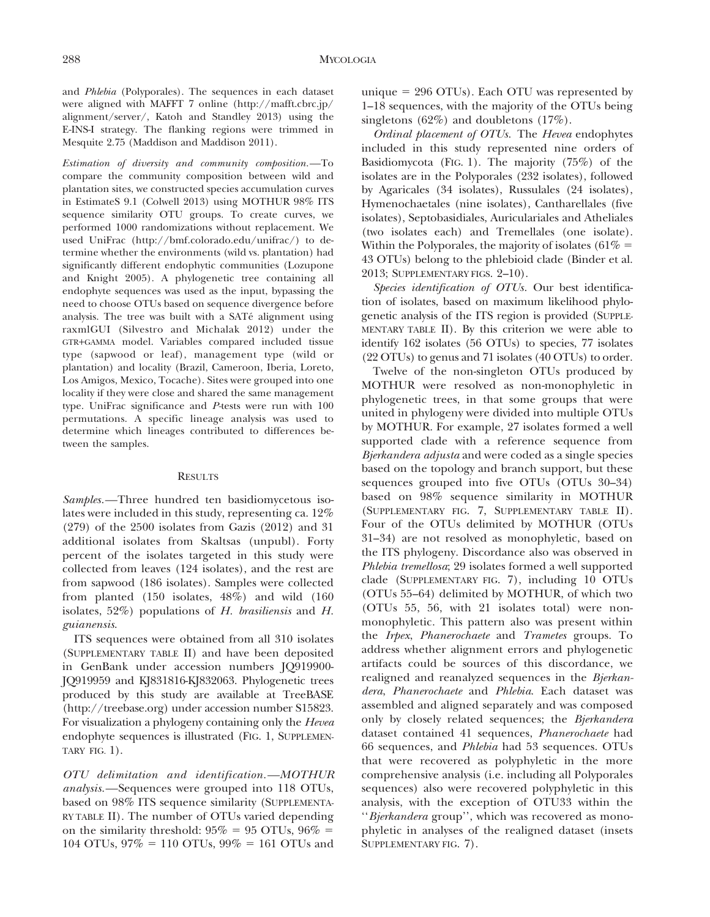and Phlebia (Polyporales). The sequences in each dataset were aligned with MAFFT 7 online (http://mafft.cbrc.jp/ alignment/server/, Katoh and Standley 2013) using the E-INS-I strategy. The flanking regions were trimmed in Mesquite 2.75 (Maddison and Maddison 2011).

Estimation of diversity and community composition.—To compare the community composition between wild and plantation sites, we constructed species accumulation curves in EstimateS 9.1 (Colwell 2013) using MOTHUR 98% ITS sequence similarity OTU groups. To create curves, we performed 1000 randomizations without replacement. We used UniFrac (http://bmf.colorado.edu/unifrac/) to determine whether the environments (wild vs. plantation) had significantly different endophytic communities (Lozupone and Knight 2005). A phylogenetic tree containing all endophyte sequences was used as the input, bypassing the need to choose OTUs based on sequence divergence before analysis. The tree was built with a SATé alignment using raxmlGUI (Silvestro and Michalak 2012) under the GTR+GAMMA model. Variables compared included tissue type (sapwood or leaf), management type (wild or plantation) and locality (Brazil, Cameroon, Iberia, Loreto, Los Amigos, Mexico, Tocache). Sites were grouped into one locality if they were close and shared the same management type. UniFrac significance and P-tests were run with 100 permutations. A specific lineage analysis was used to determine which lineages contributed to differences between the samples.

# RESULTS

Samples.—Three hundred ten basidiomycetous isolates were included in this study, representing ca. 12% (279) of the 2500 isolates from Gazis (2012) and 31 additional isolates from Skaltsas (unpubl). Forty percent of the isolates targeted in this study were collected from leaves (124 isolates), and the rest are from sapwood (186 isolates). Samples were collected from planted (150 isolates, 48%) and wild (160 isolates, 52%) populations of H. brasiliensis and H. guianensis.

ITS sequences were obtained from all 310 isolates (SUPPLEMENTARY TABLE II) and have been deposited in GenBank under accession numbers JQ919900- JQ919959 and KJ831816-KJ832063. Phylogenetic trees produced by this study are available at TreeBASE (http://treebase.org) under accession number S15823. For visualization a phylogeny containing only the Hevea endophyte sequences is illustrated (FIG. 1, SUPPLEMEN-TARY FIG.  $1$ ).

OTU delimitation and identification.—MOTHUR analysis.—Sequences were grouped into 118 OTUs, based on 98% ITS sequence similarity (SUPPLEMENTA-RY TABLE II). The number of OTUs varied depending on the similarity threshold:  $95\% = 95$  OTUs,  $96\% =$ 104 OTUs,  $97\% = 110$  OTUs,  $99\% = 161$  OTUs and unique  $= 296$  OTUs). Each OTU was represented by 1–18 sequences, with the majority of the OTUs being singletons (62%) and doubletons  $(17\%)$ .

Ordinal placement of OTUs. The Hevea endophytes included in this study represented nine orders of Basidiomycota (FIG. 1). The majority (75%) of the isolates are in the Polyporales (232 isolates), followed by Agaricales (34 isolates), Russulales (24 isolates), Hymenochaetales (nine isolates), Cantharellales (five isolates), Septobasidiales, Auriculariales and Atheliales (two isolates each) and Tremellales (one isolate). Within the Polyporales, the majority of isolates (61\% = 43 OTUs) belong to the phlebioid clade (Binder et al. 2013; SUPPLEMENTARY FIGS. 2–10).

Species identification of OTUs. Our best identification of isolates, based on maximum likelihood phylogenetic analysis of the ITS region is provided (SUPPLE-MENTARY TABLE II). By this criterion we were able to identify 162 isolates (56 OTUs) to species, 77 isolates (22 OTUs) to genus and 71 isolates (40 OTUs) to order.

Twelve of the non-singleton OTUs produced by MOTHUR were resolved as non-monophyletic in phylogenetic trees, in that some groups that were united in phylogeny were divided into multiple OTUs by MOTHUR. For example, 27 isolates formed a well supported clade with a reference sequence from Bjerkandera adjusta and were coded as a single species based on the topology and branch support, but these sequences grouped into five OTUs (OTUs 30–34) based on 98% sequence similarity in MOTHUR (SUPPLEMENTARY FIG. 7, SUPPLEMENTARY TABLE II). Four of the OTUs delimited by MOTHUR (OTUs 31–34) are not resolved as monophyletic, based on the ITS phylogeny. Discordance also was observed in Phlebia tremellosa; 29 isolates formed a well supported clade (SUPPLEMENTARY FIG. 7), including 10 OTUs (OTUs 55–64) delimited by MOTHUR, of which two (OTUs 55, 56, with 21 isolates total) were nonmonophyletic. This pattern also was present within the Irpex, Phanerochaete and Trametes groups. To address whether alignment errors and phylogenetic artifacts could be sources of this discordance, we realigned and reanalyzed sequences in the Bjerkandera, Phanerochaete and Phlebia. Each dataset was assembled and aligned separately and was composed only by closely related sequences; the Bjerkandera dataset contained 41 sequences, Phanerochaete had 66 sequences, and Phlebia had 53 sequences. OTUs that were recovered as polyphyletic in the more comprehensive analysis (i.e. including all Polyporales sequences) also were recovered polyphyletic in this analysis, with the exception of OTU33 within the ''Bjerkandera group'', which was recovered as monophyletic in analyses of the realigned dataset (insets SUPPLEMENTARY FIG. 7).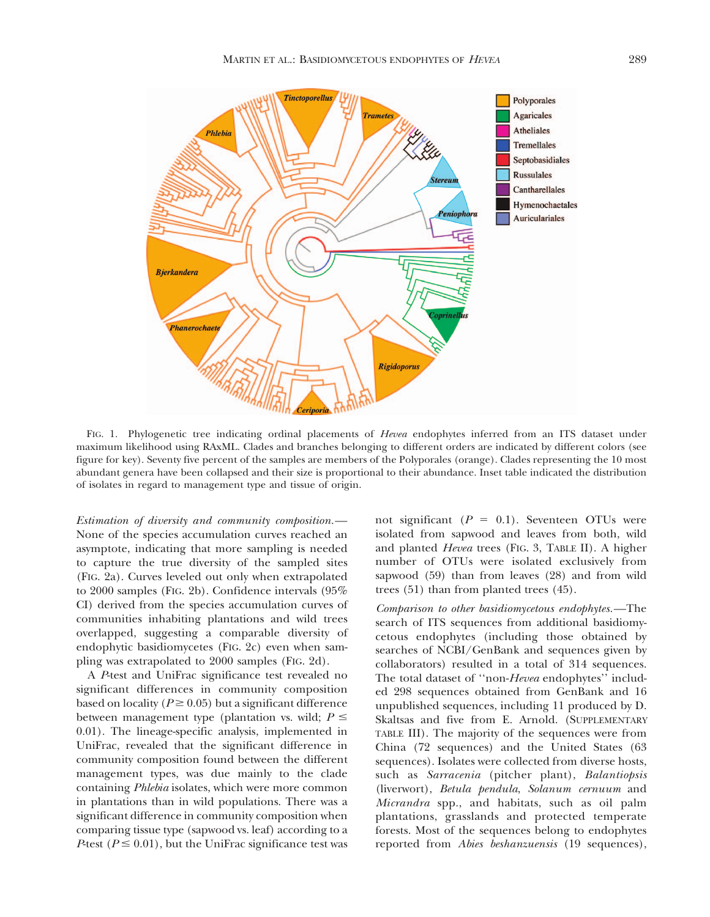

FIG. 1. Phylogenetic tree indicating ordinal placements of Hevea endophytes inferred from an ITS dataset under maximum likelihood using RAxML. Clades and branches belonging to different orders are indicated by different colors (see figure for key). Seventy five percent of the samples are members of the Polyporales (orange). Clades representing the 10 most abundant genera have been collapsed and their size is proportional to their abundance. Inset table indicated the distribution of isolates in regard to management type and tissue of origin.

Estimation of diversity and community composition.— None of the species accumulation curves reached an asymptote, indicating that more sampling is needed to capture the true diversity of the sampled sites (FIG. 2a). Curves leveled out only when extrapolated to 2000 samples (FIG. 2b). Confidence intervals (95% CI) derived from the species accumulation curves of communities inhabiting plantations and wild trees overlapped, suggesting a comparable diversity of endophytic basidiomycetes (FIG. 2c) even when sampling was extrapolated to 2000 samples (FIG. 2d).

A P-test and UniFrac significance test revealed no significant differences in community composition based on locality ( $P \ge 0.05$ ) but a significant difference between management type (plantation vs. wild;  $P \leq$ 0.01). The lineage-specific analysis, implemented in UniFrac, revealed that the significant difference in community composition found between the different management types, was due mainly to the clade containing Phlebia isolates, which were more common in plantations than in wild populations. There was a significant difference in community composition when comparing tissue type (sapwood vs. leaf) according to a P-test ( $P \le 0.01$ ), but the UniFrac significance test was

not significant ( $P = 0.1$ ). Seventeen OTUs were isolated from sapwood and leaves from both, wild and planted Hevea trees (FIG. 3, TABLE II). A higher number of OTUs were isolated exclusively from sapwood (59) than from leaves (28) and from wild trees (51) than from planted trees (45).

Comparison to other basidiomycetous endophytes.—The search of ITS sequences from additional basidiomycetous endophytes (including those obtained by searches of NCBI/GenBank and sequences given by collaborators) resulted in a total of 314 sequences. The total dataset of "non-Hevea endophytes" included 298 sequences obtained from GenBank and 16 unpublished sequences, including 11 produced by D. Skaltsas and five from E. Arnold. (SUPPLEMENTARY TABLE III). The majority of the sequences were from China (72 sequences) and the United States (63 sequences). Isolates were collected from diverse hosts, such as Sarracenia (pitcher plant), Balantiopsis (liverwort), Betula pendula, Solanum cernuum and Micrandra spp., and habitats, such as oil palm plantations, grasslands and protected temperate forests. Most of the sequences belong to endophytes reported from Abies beshanzuensis (19 sequences),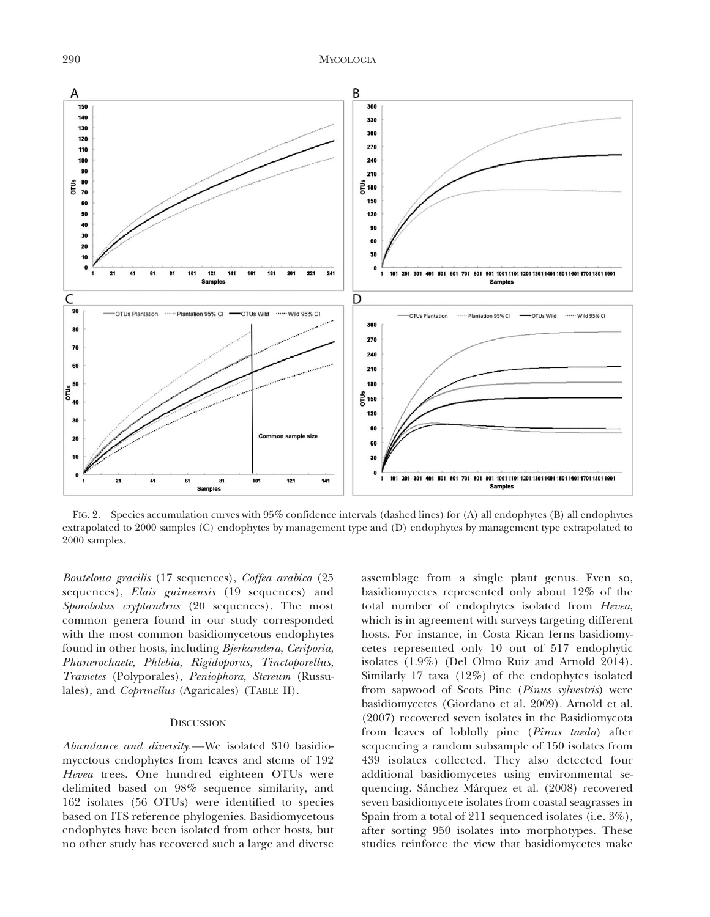290 MYCOLOGIA



FIG. 2. Species accumulation curves with 95% confidence intervals (dashed lines) for (A) all endophytes (B) all endophytes extrapolated to 2000 samples (C) endophytes by management type and (D) endophytes by management type extrapolated to 2000 samples.

Bouteloua gracilis (17 sequences), Coffea arabica (25 sequences), Elais guineensis (19 sequences) and Sporobolus cryptandrus (20 sequences). The most common genera found in our study corresponded with the most common basidiomycetous endophytes found in other hosts, including Bjerkandera, Ceriporia, Phanerochaete, Phlebia, Rigidoporus, Tinctoporellus, Trametes (Polyporales), Peniophora, Stereum (Russulales), and Coprinellus (Agaricales) (TABLE II).

# **DISCUSSION**

Abundance and diversity.—We isolated 310 basidiomycetous endophytes from leaves and stems of 192 Hevea trees. One hundred eighteen OTUs were delimited based on 98% sequence similarity, and 162 isolates (56 OTUs) were identified to species based on ITS reference phylogenies. Basidiomycetous endophytes have been isolated from other hosts, but no other study has recovered such a large and diverse

assemblage from a single plant genus. Even so, basidiomycetes represented only about 12% of the total number of endophytes isolated from Hevea, which is in agreement with surveys targeting different hosts. For instance, in Costa Rican ferns basidiomycetes represented only 10 out of 517 endophytic isolates (1.9%) (Del Olmo Ruiz and Arnold 2014). Similarly 17 taxa (12%) of the endophytes isolated from sapwood of Scots Pine (Pinus sylvestris) were basidiomycetes (Giordano et al. 2009). Arnold et al. (2007) recovered seven isolates in the Basidiomycota from leaves of loblolly pine (Pinus taeda) after sequencing a random subsample of 150 isolates from 439 isolates collected. They also detected four additional basidiomycetes using environmental sequencing. Sánchez Márquez et al. (2008) recovered seven basidiomycete isolates from coastal seagrasses in Spain from a total of 211 sequenced isolates (i.e. 3%), after sorting 950 isolates into morphotypes. These studies reinforce the view that basidiomycetes make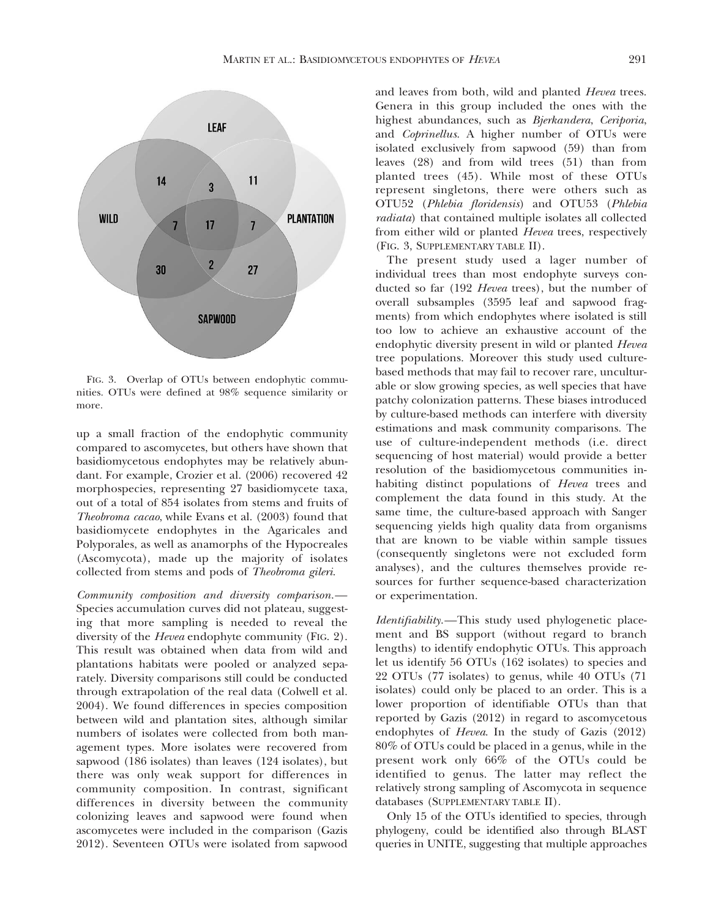

FIG. 3. Overlap of OTUs between endophytic communities. OTUs were defined at 98% sequence similarity or more.

up a small fraction of the endophytic community compared to ascomycetes, but others have shown that basidiomycetous endophytes may be relatively abundant. For example, Crozier et al. (2006) recovered 42 morphospecies, representing 27 basidiomycete taxa, out of a total of 854 isolates from stems and fruits of Theobroma cacao, while Evans et al. (2003) found that basidiomycete endophytes in the Agaricales and Polyporales, as well as anamorphs of the Hypocreales (Ascomycota), made up the majority of isolates collected from stems and pods of Theobroma gileri.

Community composition and diversity comparison.— Species accumulation curves did not plateau, suggesting that more sampling is needed to reveal the diversity of the Hevea endophyte community (FIG. 2). This result was obtained when data from wild and plantations habitats were pooled or analyzed separately. Diversity comparisons still could be conducted through extrapolation of the real data (Colwell et al. 2004). We found differences in species composition between wild and plantation sites, although similar numbers of isolates were collected from both management types. More isolates were recovered from sapwood (186 isolates) than leaves (124 isolates), but there was only weak support for differences in community composition. In contrast, significant differences in diversity between the community colonizing leaves and sapwood were found when ascomycetes were included in the comparison (Gazis 2012). Seventeen OTUs were isolated from sapwood and leaves from both, wild and planted Hevea trees. Genera in this group included the ones with the highest abundances, such as Bjerkandera, Ceriporia, and Coprinellus. A higher number of OTUs were isolated exclusively from sapwood (59) than from leaves (28) and from wild trees (51) than from planted trees (45). While most of these OTUs represent singletons, there were others such as OTU52 (Phlebia floridensis) and OTU53 (Phlebia radiata) that contained multiple isolates all collected from either wild or planted *Hevea* trees, respectively (FIG. 3, SUPPLEMENTARY TABLE II).

The present study used a lager number of individual trees than most endophyte surveys conducted so far (192 Hevea trees), but the number of overall subsamples (3595 leaf and sapwood fragments) from which endophytes where isolated is still too low to achieve an exhaustive account of the endophytic diversity present in wild or planted Hevea tree populations. Moreover this study used culturebased methods that may fail to recover rare, unculturable or slow growing species, as well species that have patchy colonization patterns. These biases introduced by culture-based methods can interfere with diversity estimations and mask community comparisons. The use of culture-independent methods (i.e. direct sequencing of host material) would provide a better resolution of the basidiomycetous communities inhabiting distinct populations of Hevea trees and complement the data found in this study. At the same time, the culture-based approach with Sanger sequencing yields high quality data from organisms that are known to be viable within sample tissues (consequently singletons were not excluded form analyses), and the cultures themselves provide resources for further sequence-based characterization or experimentation.

Identifiability.—This study used phylogenetic placement and BS support (without regard to branch lengths) to identify endophytic OTUs. This approach let us identify 56 OTUs (162 isolates) to species and 22 OTUs (77 isolates) to genus, while 40 OTUs (71 isolates) could only be placed to an order. This is a lower proportion of identifiable OTUs than that reported by Gazis (2012) in regard to ascomycetous endophytes of Hevea. In the study of Gazis (2012) 80% of OTUs could be placed in a genus, while in the present work only 66% of the OTUs could be identified to genus. The latter may reflect the relatively strong sampling of Ascomycota in sequence databases (SUPPLEMENTARY TABLE II).

Only 15 of the OTUs identified to species, through phylogeny, could be identified also through BLAST queries in UNITE, suggesting that multiple approaches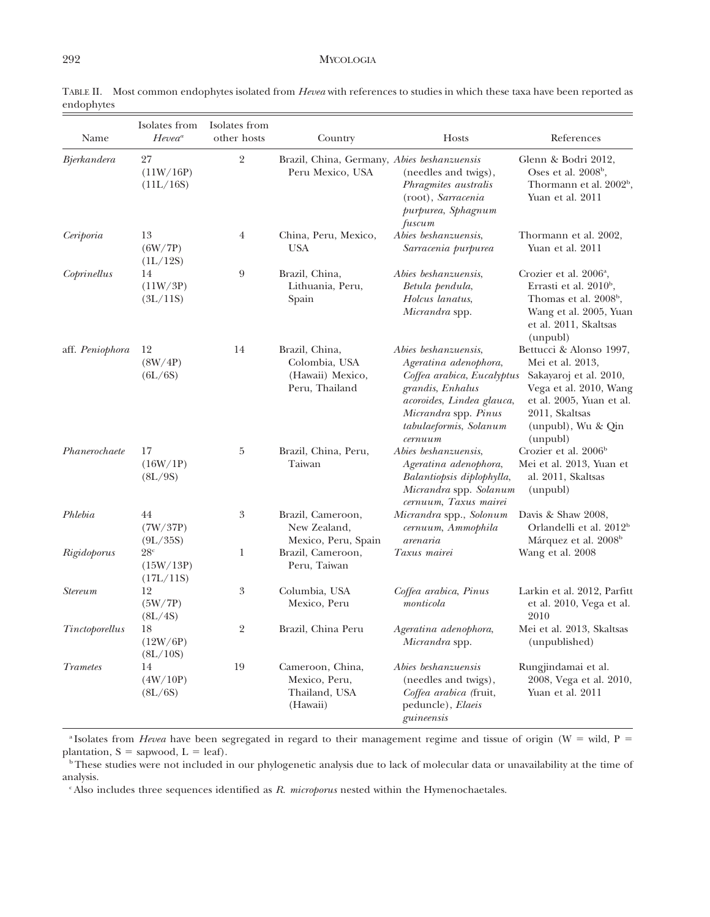| Name            | Isolates from<br>$Hevea^a$                | Isolates from<br>other hosts | Country                                                               | Hosts                                                                                                                                                                                     | References                                                                                                                                                                      |
|-----------------|-------------------------------------------|------------------------------|-----------------------------------------------------------------------|-------------------------------------------------------------------------------------------------------------------------------------------------------------------------------------------|---------------------------------------------------------------------------------------------------------------------------------------------------------------------------------|
| Bjerkandera     | 27<br>(11W/16P)<br>(11L/16S)              | $\overline{2}$               | Brazil, China, Germany, Abies beshanzuensis<br>Peru Mexico, USA       | (needles and twigs),<br>Phragmites australis<br>(root), Sarracenia<br>purpurea, Sphagnum<br>fuscum                                                                                        | Glenn & Bodri 2012,<br>Oses et al. $2008b$ ,<br>Thormann et al. 2002 <sup>b</sup> ,<br>Yuan et al. 2011                                                                         |
| Ceriporia       | 13<br>(6W/7P)<br>(1L/12S)                 | $\overline{4}$               | China, Peru, Mexico,<br>USA                                           | Abies beshanzuensis,<br>Sarracenia purpurea                                                                                                                                               | Thormann et al. 2002,<br>Yuan et al. 2011                                                                                                                                       |
| Coprinellus     | 14<br>(11W/3P)<br>(3L/11S)                | 9                            | Brazil, China,<br>Lithuania, Peru,<br>Spain                           | Abies beshanzuensis,<br>Betula pendula,<br>Holcus lanatus,<br>Micrandra spp.                                                                                                              | Crozier et al. 2006 <sup>a</sup> ,<br>Errasti et al. 2010 <sup>b</sup> ,<br>Thomas et al. 2008 <sup>b</sup> ,<br>Wang et al. 2005, Yuan<br>et al. 2011, Skaltsas<br>(unpubl)    |
| aff. Peniophora | 12<br>(8W/4P)<br>(6L/6S)                  | 14                           | Brazil, China,<br>Colombia, USA<br>(Hawaii) Mexico,<br>Peru, Thailand | Abies beshanzuensis,<br>Ageratina adenophora,<br>Coffea arabica, Eucalyptus<br>grandis, Enhalus<br>acoroides, Lindea glauca,<br>Micrandra spp. Pinus<br>tabulaeformis, Solanum<br>cernuum | Bettucci & Alonso 1997,<br>Mei et al. 2013,<br>Sakayaroj et al. 2010,<br>Vega et al. 2010, Wang<br>et al. 2005, Yuan et al.<br>2011, Skaltsas<br>(unpubl), Wu & Qin<br>(unpubl) |
| Phanerochaete   | 17<br>(16W/1P)<br>(8L/9S)                 | 5                            | Brazil, China, Peru,<br>Taiwan                                        | Abies beshanzuensis,<br>Ageratina adenophora,<br>Balantiopsis diplophylla,<br>Micrandra spp. Solanum<br>cernuum, Taxus mairei                                                             | Crozier et al. 2006 <sup>b</sup><br>Mei et al. 2013, Yuan et<br>al. 2011, Skaltsas<br>(unpubl)                                                                                  |
| Phlebia         | 44<br>(7W/37P)<br>(9L/35S)                | 3                            | Brazil, Cameroon,<br>New Zealand,<br>Mexico, Peru, Spain              | Micrandra spp., Solonum<br>cernuum, Ammophila<br>arenaria                                                                                                                                 | Davis & Shaw 2008,<br>Orlandelli et al. 2012 <sup>b</sup><br>Márquez et al. 2008 <sup>b</sup>                                                                                   |
| Rigidoporus     | 28 <sup>c</sup><br>(15W/13P)<br>(17L/11S) | 1                            | Brazil, Cameroon,<br>Peru, Taiwan                                     | Taxus mairei                                                                                                                                                                              | Wang et al. 2008                                                                                                                                                                |
| <b>Stereum</b>  | 12<br>(5W/7P)<br>(8L/4S)                  | 3                            | Columbia, USA<br>Mexico, Peru                                         | Coffea arabica, Pinus<br>monticola                                                                                                                                                        | Larkin et al. 2012, Parfitt<br>et al. 2010, Vega et al.<br>2010                                                                                                                 |
| Tinctoporellus  | 18<br>(12W/6P)<br>(8L/10S)                | $\overline{2}$               | Brazil, China Peru                                                    | Ageratina adenophora,<br>Micrandra spp.                                                                                                                                                   | Mei et al. 2013, Skaltsas<br>(unpublished)                                                                                                                                      |
| Trametes        | 14<br>(4W/10P)<br>(8L/6S)                 | 19                           | Cameroon, China,<br>Mexico, Peru,<br>Thailand, USA<br>(Hawaii)        | Abies beshanzuensis<br>(needles and twigs),<br>Coffea arabica (fruit,<br>peduncle), Elaeis<br>guineensis                                                                                  | Rungjindamai et al.<br>2008, Vega et al. 2010,<br>Yuan et al. 2011                                                                                                              |

TABLE II. Most common endophytes isolated from Hevea with references to studies in which these taxa have been reported as endophytes

<sup>a</sup> Isolates from *Hevea* have been segregated in regard to their management regime and tissue of origin (W = wild, P = plantation,  $S =$  sapwood,  $L =$  leaf).

<sup>b</sup>These studies were not included in our phylogenetic analysis due to lack of molecular data or unavailability at the time of analysis.

 $c$ Also includes three sequences identified as  $R.$  microporus nested within the Hymenochaetales.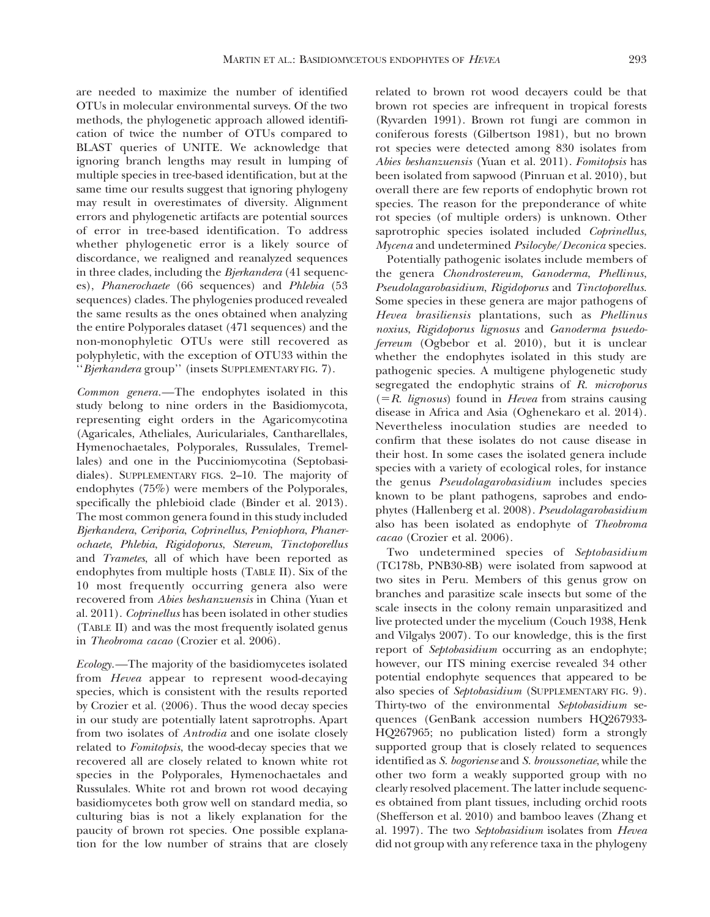are needed to maximize the number of identified OTUs in molecular environmental surveys. Of the two methods, the phylogenetic approach allowed identification of twice the number of OTUs compared to BLAST queries of UNITE. We acknowledge that ignoring branch lengths may result in lumping of multiple species in tree-based identification, but at the same time our results suggest that ignoring phylogeny may result in overestimates of diversity. Alignment errors and phylogenetic artifacts are potential sources of error in tree-based identification. To address whether phylogenetic error is a likely source of discordance, we realigned and reanalyzed sequences in three clades, including the Bjerkandera (41 sequences), Phanerochaete (66 sequences) and Phlebia (53 sequences) clades. The phylogenies produced revealed the same results as the ones obtained when analyzing the entire Polyporales dataset (471 sequences) and the non-monophyletic OTUs were still recovered as polyphyletic, with the exception of OTU33 within the "Bjerkandera group" (insets SUPPLEMENTARY FIG. 7).

Common genera.—The endophytes isolated in this study belong to nine orders in the Basidiomycota, representing eight orders in the Agaricomycotina (Agaricales, Atheliales, Auriculariales, Cantharellales, Hymenochaetales, Polyporales, Russulales, Tremellales) and one in the Pucciniomycotina (Septobasidiales). SUPPLEMENTARY FIGS. 2–10. The majority of endophytes (75%) were members of the Polyporales, specifically the phlebioid clade (Binder et al. 2013). The most common genera found in this study included Bjerkandera, Ceriporia, Coprinellus, Peniophora, Phanerochaete, Phlebia, Rigidoporus, Stereum, Tinctoporellus and Trametes, all of which have been reported as endophytes from multiple hosts (TABLE II). Six of the 10 most frequently occurring genera also were recovered from Abies beshanzuensis in China (Yuan et al. 2011). Coprinellus has been isolated in other studies (TABLE II) and was the most frequently isolated genus in Theobroma cacao (Crozier et al. 2006).

Ecology.—The majority of the basidiomycetes isolated from Hevea appear to represent wood-decaying species, which is consistent with the results reported by Crozier et al. (2006). Thus the wood decay species in our study are potentially latent saprotrophs. Apart from two isolates of Antrodia and one isolate closely related to Fomitopsis, the wood-decay species that we recovered all are closely related to known white rot species in the Polyporales, Hymenochaetales and Russulales. White rot and brown rot wood decaying basidiomycetes both grow well on standard media, so culturing bias is not a likely explanation for the paucity of brown rot species. One possible explanation for the low number of strains that are closely related to brown rot wood decayers could be that brown rot species are infrequent in tropical forests (Ryvarden 1991). Brown rot fungi are common in coniferous forests (Gilbertson 1981), but no brown rot species were detected among 830 isolates from Abies beshanzuensis (Yuan et al. 2011). Fomitopsis has been isolated from sapwood (Pinruan et al. 2010), but overall there are few reports of endophytic brown rot species. The reason for the preponderance of white rot species (of multiple orders) is unknown. Other saprotrophic species isolated included *Coprinellus*, Mycena and undetermined Psilocybe/Deconica species.

Potentially pathogenic isolates include members of the genera Chondrostereum, Ganoderma, Phellinus, Pseudolagarobasidium, Rigidoporus and Tinctoporellus. Some species in these genera are major pathogens of Hevea brasiliensis plantations, such as Phellinus noxius, Rigidoporus lignosus and Ganoderma psuedoferreum (Ogbebor et al. 2010), but it is unclear whether the endophytes isolated in this study are pathogenic species. A multigene phylogenetic study segregated the endophytic strains of R. microporus  $(=R.$  lignosus) found in Hevea from strains causing disease in Africa and Asia (Oghenekaro et al. 2014). Nevertheless inoculation studies are needed to confirm that these isolates do not cause disease in their host. In some cases the isolated genera include species with a variety of ecological roles, for instance the genus Pseudolagarobasidium includes species known to be plant pathogens, saprobes and endophytes (Hallenberg et al. 2008). Pseudolagarobasidium also has been isolated as endophyte of Theobroma cacao (Crozier et al. 2006).

Two undetermined species of Septobasidium (TC178b, PNB30-8B) were isolated from sapwood at two sites in Peru. Members of this genus grow on branches and parasitize scale insects but some of the scale insects in the colony remain unparasitized and live protected under the mycelium (Couch 1938, Henk and Vilgalys 2007). To our knowledge, this is the first report of Septobasidium occurring as an endophyte; however, our ITS mining exercise revealed 34 other potential endophyte sequences that appeared to be also species of Septobasidium (SUPPLEMENTARY FIG. 9). Thirty-two of the environmental Septobasidium sequences (GenBank accession numbers HQ267933- HQ267965; no publication listed) form a strongly supported group that is closely related to sequences identified as S. bogoriense and S. broussonetiae, while the other two form a weakly supported group with no clearly resolved placement. The latter include sequences obtained from plant tissues, including orchid roots (Shefferson et al. 2010) and bamboo leaves (Zhang et al. 1997). The two Septobasidium isolates from Hevea did not group with any reference taxa in the phylogeny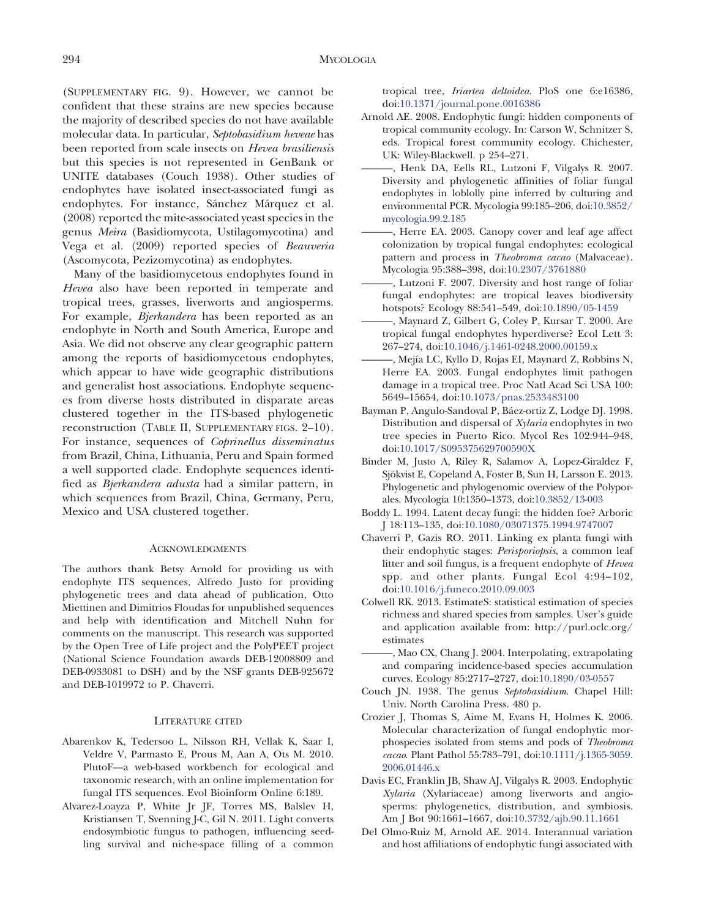(SUPPLEMENTARY FIG. 9). However, we cannot be confident that these strains are new species because the majority of described species do not have available molecular data. In particular, Septobasidium heveae has been reported from scale insects on Hevea brasiliensis but this species is not represented in GenBank or UNITE databases (Couch 1938). Other studies of endophytes have isolated insect-associated fungi as endophytes. For instance, Sánchez Márquez et al. (2008) reported the mite-associated yeast species in the genus Meira (Basidiomycota, Ustilagomycotina) and Vega et al. (2009) reported species of Beauveria (Ascomycota, Pezizomycotina) as endophytes.

Many of the basidiomycetous endophytes found in Hevea also have been reported in temperate and tropical trees, grasses, liverworts and angiosperms. For example, Bjerkandera has been reported as an endophyte in North and South America, Europe and Asia. We did not observe any clear geographic pattern among the reports of basidiomycetous endophytes, which appear to have wide geographic distributions and generalist host associations. Endophyte sequences from diverse hosts distributed in disparate areas clustered together in the ITS-based phylogenetic reconstruction (TABLE II, SUPPLEMENTARY FIGS. 2–10). For instance, sequences of Coprinellus disseminatus from Brazil, China, Lithuania, Peru and Spain formed a well supported clade. Endophyte sequences identified as Bjerkandera adusta had a similar pattern, in which sequences from Brazil, China, Germany, Peru, Mexico and USA clustered together.

#### ACKNOWLEDGMENTS

The authors thank Betsy Arnold for providing us with endophyte ITS sequences, Alfredo Justo for providing phylogenetic trees and data ahead of publication, Otto Miettinen and Dimitrios Floudas for unpublished sequences and help with identification and Mitchell Nuhn for comments on the manuscript. This research was supported by the Open Tree of Life project and the PolyPEET project (National Science Foundation awards DEB-12008809 and DEB-0933081 to DSH) and by the NSF grants DEB-925672 and DEB-1019972 to P. Chaverri.

#### LITERATURE CITED

- Abarenkov K, Tedersoo L, Nilsson RH, Vellak K, Saar I, Veldre V, Parmasto E, Prous M, Aan A, Ots M. 2010. PlutoF—a web-based workbench for ecological and taxonomic research, with an online implementation for fungal ITS sequences. Evol Bioinform Online 6:189.
- Alvarez-Loayza P, White Jr JF, Torres MS, Balslev H, Kristiansen T, Svenning J-C, Gil N. 2011. Light converts endosymbiotic fungus to pathogen, influencing seedling survival and niche-space filling of a common

tropical tree, Iriartea deltoidea. PloS one 6:e16386[,](http://dx.doi.org/10.1371%2Fjournal.pone.0016386) [doi:10.1371/journal.pone.0016386](http://dx.doi.org/10.1371%2Fjournal.pone.0016386)

- Arnold AE. 2008. Endophytic fungi: hidden components of tropical community ecology. In: Carson W, Schnitzer S, eds. Tropical forest community ecology. Chichester, UK: Wiley-Blackwell. p 254–271.
- ———, Henk DA, Eells RL, Lutzoni F, Vilgalys R. 2007. Diversity and phylogenetic affinities of foliar fungal endophytes in loblolly pine inferred by culturing and environmental PCR. Mycologia 99:185–20[6, doi:10.3852/](http://dx.doi.org/10.3852%2Fmycologia.99.2.185) [mycologia.99.2.185](http://dx.doi.org/10.3852%2Fmycologia.99.2.185)
- ———, Herre EA. 2003. Canopy cover and leaf age affect colonization by tropical fungal endophytes: ecological pattern and process in Theobroma cacao (Malvaceae). Mycologia 95:388–398[, doi:10.2307/3761880](http://dx.doi.org/10.2307%2F3761880)
- ———, Lutzoni F. 2007. Diversity and host range of foliar fungal endophytes: are tropical leaves biodiversity hotspots? Ecology 88:541–54[9, doi:10.1890/05-1459](http://dx.doi.org/10.1890%2F05-1459)
- ———, Maynard Z, Gilbert G, Coley P, Kursar T. 2000. Are tropical fungal endophytes hyperdiverse? Ecol Lett 3: 267–27[4, doi:10.1046/j.1461-0248.2000.00159.x](http://dx.doi.org/10.1046%2Fj.1461-0248.2000.00159.x)
- —, Mejía LC, Kyllo D, Rojas EI, Maynard Z, Robbins N, Herre EA. 2003. Fungal endophytes limit pathogen damage in a tropical tree. Proc Natl Acad Sci USA 100: 5649–1565[4, doi:10.1073/pnas.2533483100](http://dx.doi.org/10.1073%2Fpnas.2533483100)
- Bayman P, Angulo-Sandoval P, Báez-ortiz Z, Lodge DJ. 1998. Distribution and dispersal of Xylaria endophytes in two tree species in Puerto Rico. Mycol Res 102:944–948[,](http://dx.doi.org/10.1017%2FS095375629700590X) [doi:10.1017/S095375629700590X](http://dx.doi.org/10.1017%2FS095375629700590X)
- Binder M, Justo A, Riley R, Salamov A, Lopez-Giraldez F, Sjökvist E, Copeland A, Foster B, Sun H, Larsson E. 2013. Phylogenetic and phylogenomic overview of the Polyporales. Mycologia 10:1350–1373[, doi:10.3852/13-003](http://dx.doi.org/10.3852%2F13-003)
- Boddy L. 1994. Latent decay fungi: the hidden foe? Arboric J 18:113–135[, doi:10.1080/03071375.1994.9747007](http://dx.doi.org/10.1080%2F03071375.1994.9747007)
- Chaverri P, Gazis RO. 2011. Linking ex planta fungi with their endophytic stages: Perisporiopsis, a common leaf litter and soil fungus, is a frequent endophyte of Hevea spp. and other plants. Fungal Ecol 4:94–102[,](http://dx.doi.org/10.1016%2Fj.funeco.2010.09.003) [doi:10.1016/j.funeco.2010.09.003](http://dx.doi.org/10.1016%2Fj.funeco.2010.09.003)
- Colwell RK. 2013. EstimateS: statistical estimation of species richness and shared species from samples. User's guide and application available from: [http://purl.oclc.org/](http://purl.oclc.org/estimates) [estimates](http://purl.oclc.org/estimates)
- ———, Mao CX, Chang J. 2004. Interpolating, extrapolating and comparing incidence-based species accumulation curves. Ecology 85:2717–2727[, doi:10.1890/03-0557](http://dx.doi.org/10.1890%2F03-0557)
- Couch JN. 1938. The genus Septobasidium. Chapel Hill: Univ. North Carolina Press. 480 p.
- Crozier J, Thomas S, Aime M, Evans H, Holmes K. 2006. Molecular characterization of fungal endophytic morphospecies isolated from stems and pods of Theobroma cacao. Plant Pathol 55:783–79[1, doi:10.1111/j.1365-3059.](http://dx.doi.org/10.1111%2Fj.1365-3059.2006.01446.x) [2006.01446.x](http://dx.doi.org/10.1111%2Fj.1365-3059.2006.01446.x)
- Davis EC, Franklin JB, Shaw AJ, Vilgalys R. 2003. Endophytic Xylaria (Xylariaceae) among liverworts and angiosperms: phylogenetics, distribution, and symbiosis. Am J Bot 90:1661–1667[, doi:10.3732/ajb.90.11.1661](http://dx.doi.org/10.3732%2Fajb.90.11.1661)
- Del Olmo-Ruiz M, Arnold AE. 2014. Interannual variation and host affiliations of endophytic fungi associated with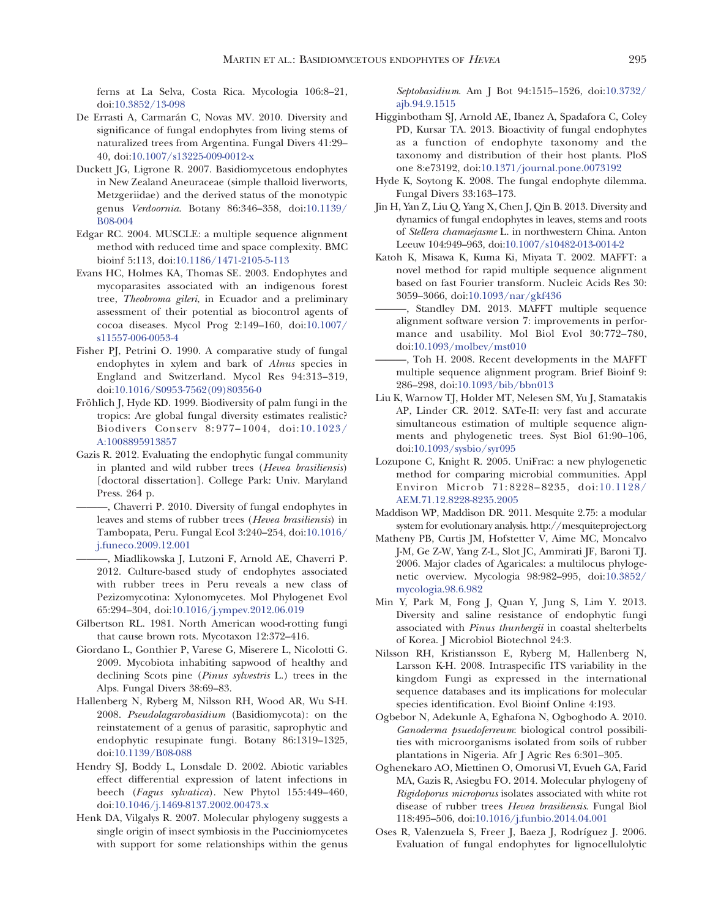ferns at La Selva, Costa Rica. Mycologia 106:8–21[,](http://dx.doi.org/10.3852%2F13-098) [doi:10.3852/13-098](http://dx.doi.org/10.3852%2F13-098)

- De Errasti A, Carmarán C, Novas MV. 2010. Diversity and significance of fungal endophytes from living stems of naturalized trees from Argentina. Fungal Divers 41:29– 4[0, doi:10.1007/s13225-009-0012-x](http://dx.doi.org/10.1007%2Fs13225-009-0012-x)
- Duckett JG, Ligrone R. 2007. Basidiomycetous endophytes in New Zealand Aneuraceae (simple thalloid liverworts, Metzgeriidae) and the derived status of the monotypic genus Verdoornia. Botany 86:346–35[8, doi:10.1139/](http://dx.doi.org/10.1139%2FB08-004) [B08-004](http://dx.doi.org/10.1139%2FB08-004)
- Edgar RC. 2004. MUSCLE: a multiple sequence alignment method with reduced time and space complexity. BMC bioinf 5:11[3, doi:10.1186/1471-2105-5-113](http://dx.doi.org/10.1186%2F1471-2105-5-113)
- Evans HC, Holmes KA, Thomas SE. 2003. Endophytes and mycoparasites associated with an indigenous forest tree, Theobroma gileri, in Ecuador and a preliminary assessment of their potential as biocontrol agents of cocoa diseases. Mycol Prog 2:149–160[, doi:10.1007/](http://dx.doi.org/10.1007%2Fs11557-006-0053-4) [s11557-006-0053-4](http://dx.doi.org/10.1007%2Fs11557-006-0053-4)
- Fisher PJ, Petrini O. 1990. A comparative study of fungal endophytes in xylem and bark of Alnus species in England and Switzerland. Mycol Res 94:313–319[,](http://dx.doi.org/10.1016%2FS0953-7562%2809%2980356-0) [doi:10.1016/S0953-7562\(09\)80356-0](http://dx.doi.org/10.1016%2FS0953-7562%2809%2980356-0)
- Fröhlich J, Hyde KD. 1999. Biodiversity of palm fungi in the tropics: Are global fungal diversity estimates realistic? Biodivers Conserv 8:977–1004[, doi:10.1023/](http://dx.doi.org/10.1023%2FA%3A1008895913857) [A:1008895913857](http://dx.doi.org/10.1023%2FA%3A1008895913857)
- Gazis R. 2012. Evaluating the endophytic fungal community in planted and wild rubber trees (Hevea brasiliensis) [doctoral dissertation]. College Park: Univ. Maryland Press. 264 p.
- ———, Chaverri P. 2010. Diversity of fungal endophytes in leaves and stems of rubber trees (Hevea brasiliensis) in Tambopata, Peru. Fungal Ecol 3:240–254[, doi:10.1016/](http://dx.doi.org/10.1016%2Fj.funeco.2009.12.001) [j.funeco.2009.12.001](http://dx.doi.org/10.1016%2Fj.funeco.2009.12.001)
- ———, Miadlikowska J, Lutzoni F, Arnold AE, Chaverri P. 2012. Culture-based study of endophytes associated with rubber trees in Peru reveals a new class of Pezizomycotina: Xylonomycetes. Mol Phylogenet Evol 65:294–304[, doi:10.1016/j.ympev.2012.06.019](http://dx.doi.org/10.1016%2Fj.ympev.2012.06.019)
- Gilbertson RL. 1981. North American wood-rotting fungi that cause brown rots. Mycotaxon 12:372–416.
- Giordano L, Gonthier P, Varese G, Miserere L, Nicolotti G. 2009. Mycobiota inhabiting sapwood of healthy and declining Scots pine (Pinus sylvestris L.) trees in the Alps. Fungal Divers 38:69–83.
- Hallenberg N, Ryberg M, Nilsson RH, Wood AR, Wu S-H. 2008. Pseudolagarobasidium (Basidiomycota): on the reinstatement of a genus of parasitic, saprophytic and endophytic resupinate fungi. Botany 86:1319–1325[,](http://dx.doi.org/10.1139%2FB08-088) [doi:10.1139/B08-088](http://dx.doi.org/10.1139%2FB08-088)
- Hendry SJ, Boddy L, Lonsdale D. 2002. Abiotic variables effect differential expression of latent infections in beech (Fagus sylvatica). New Phytol 155:449–460[,](http://dx.doi.org/10.1046%2Fj.1469-8137.2002.00473.x) [doi:10.1046/j.1469-8137.2002.00473.x](http://dx.doi.org/10.1046%2Fj.1469-8137.2002.00473.x)
- Henk DA, Vilgalys R. 2007. Molecular phylogeny suggests a single origin of insect symbiosis in the Pucciniomycetes with support for some relationships within the genus

Septobasidium. Am J Bot 94:1515–152[6, doi:10.3732/](http://dx.doi.org/10.3732%2Fajb.94.9.1515) [ajb.94.9.1515](http://dx.doi.org/10.3732%2Fajb.94.9.1515)

- Higginbotham SJ, Arnold AE, Ibanez A, Spadafora C, Coley PD, Kursar TA. 2013. Bioactivity of fungal endophytes as a function of endophyte taxonomy and the taxonomy and distribution of their host plants. PloS one 8:e7319[2, doi:10.1371/journal.pone.0073192](http://dx.doi.org/10.1371%2Fjournal.pone.0073192)
- Hyde K, Soytong K. 2008. The fungal endophyte dilemma. Fungal Divers 33:163–173.
- Jin H, Yan Z, Liu Q, Yang X, Chen J, Qin B. 2013. Diversity and dynamics of fungal endophytes in leaves, stems and roots of Stellera chamaejasme L. in northwestern China. Anton Leeuw 104:949–96[3, doi:10.1007/s10482-013-0014-2](http://dx.doi.org/10.1007%2Fs10482-013-0014-2)
- Katoh K, Misawa K, Kuma Ki, Miyata T. 2002. MAFFT: a novel method for rapid multiple sequence alignment based on fast Fourier transform. Nucleic Acids Res 30: 3059–3066[, doi:10.1093/nar/gkf436](http://dx.doi.org/10.1093%2Fnar%2Fgkf436)
- ———, Standley DM. 2013. MAFFT multiple sequence alignment software version 7: improvements in performance and usability. Mol Biol Evol 30:772–780[,](http://dx.doi.org/10.1093%2Fmolbev%2Fmst010) [doi:10.1093/molbev/mst010](http://dx.doi.org/10.1093%2Fmolbev%2Fmst010)
- ———, Toh H. 2008. Recent developments in the MAFFT multiple sequence alignment program. Brief Bioinf 9: 286–29[8, doi:10.1093/bib/bbn013](http://dx.doi.org/10.1093%2Fbib%2Fbbn013)
- Liu K, Warnow TJ, Holder MT, Nelesen SM, Yu J, Stamatakis AP, Linder CR. 2012. SATe-II: very fast and accurate simultaneous estimation of multiple sequence alignments and phylogenetic trees. Syst Biol 61:90–106[,](http://dx.doi.org/10.1093%2Fsysbio%2Fsyr095) [doi:10.1093/sysbio/syr095](http://dx.doi.org/10.1093%2Fsysbio%2Fsyr095)
- Lozupone C, Knight R. 2005. UniFrac: a new phylogenetic method for comparing microbial communities. Appl Environ Microb 71:8228–8235[, doi:10.1128/](http://dx.doi.org/10.1128%2FAEM.71.12.8228-8235.2005) [AEM.71.12.8228-8235.2005](http://dx.doi.org/10.1128%2FAEM.71.12.8228-8235.2005)
- Maddison WP, Maddison DR. 2011. Mesquite 2.75: a modular system for evolutionary analysis. http://mesquiteproject.org
- Matheny PB, Curtis JM, Hofstetter V, Aime MC, Moncalvo J-M, Ge Z-W, Yang Z-L, Slot JC, Ammirati JF, Baroni TJ. 2006. Major clades of Agaricales: a multilocus phylogenetic overview. Mycologia 98:982–995[, doi:10.3852/](http://dx.doi.org/10.3852%2Fmycologia.98.6.982) [mycologia.98.6.982](http://dx.doi.org/10.3852%2Fmycologia.98.6.982)
- Min Y, Park M, Fong J, Quan Y, Jung S, Lim Y. 2013. Diversity and saline resistance of endophytic fungi associated with Pinus thunbergii in coastal shelterbelts of Korea. J Microbiol Biotechnol 24:3.
- Nilsson RH, Kristiansson E, Ryberg M, Hallenberg N, Larsson K-H. 2008. Intraspecific ITS variability in the kingdom Fungi as expressed in the international sequence databases and its implications for molecular species identification. Evol Bioinf Online 4:193.
- Ogbebor N, Adekunle A, Eghafona N, Ogboghodo A. 2010. Ganoderma psuedoferreum: biological control possibilities with microorganisms isolated from soils of rubber plantations in Nigeria. Afr J Agric Res 6:301–305.
- Oghenekaro AO, Miettinen O, Omorusi VI, Evueh GA, Farid MA, Gazis R, Asiegbu FO. 2014. Molecular phylogeny of Rigidoporus microporus isolates associated with white rot disease of rubber trees Hevea brasiliensis. Fungal Biol 118:495–50[6, doi:10.1016/j.funbio.2014.04.001](http://dx.doi.org/10.1016%2Fj.funbio.2014.04.001)
- Oses R, Valenzuela S, Freer J, Baeza J, Rodríguez J. 2006. Evaluation of fungal endophytes for lignocellulolytic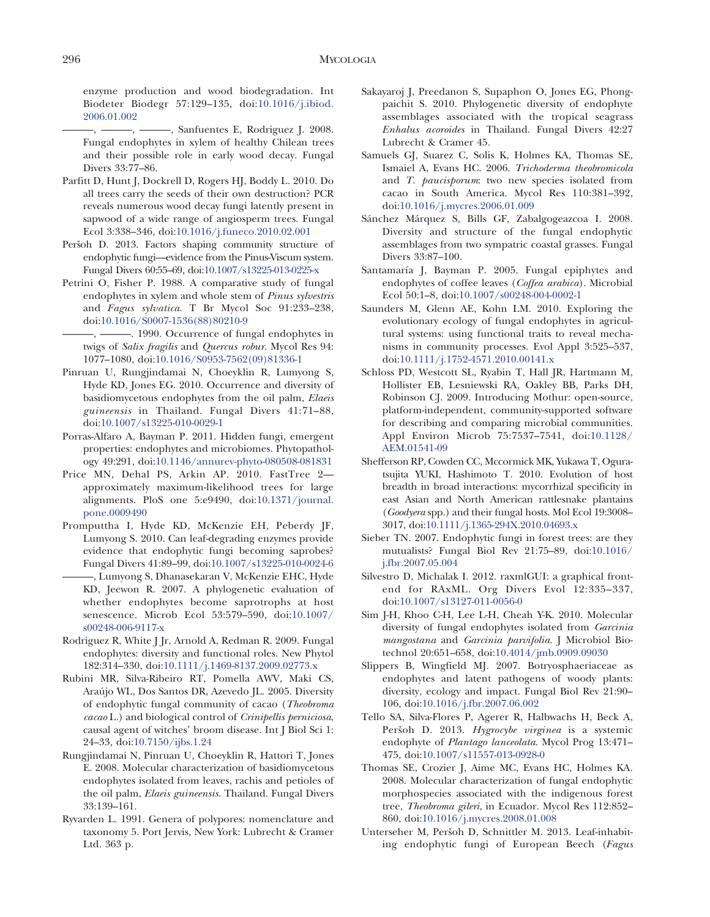enzyme production and wood biodegradation. Int Biodeter Biodegr 57:129–135[, doi:10.1016/j.ibiod.](http://dx.doi.org/10.1016%2Fj.ibiod.2006.01.002) [2006.01.002](http://dx.doi.org/10.1016%2Fj.ibiod.2006.01.002)

—, ———, ———, Sanfuentes E, Rodriguez J. 2008. Fungal endophytes in xylem of healthy Chilean trees and their possible role in early wood decay. Fungal Divers 33:77–86.

- Parfitt D, Hunt J, Dockrell D, Rogers HJ, Boddy L. 2010. Do all trees carry the seeds of their own destruction? PCR reveals numerous wood decay fungi latently present in sapwood of a wide range of angiosperm trees. Fungal Ecol 3:338–34[6, doi:10.1016/j.funeco.2010.02.001](http://dx.doi.org/10.1016%2Fj.funeco.2010.02.001)
- Peršoh D. 2013. Factors shaping community structure of endophytic fungi—evidence from the Pinus-Viscum system. Fungal Divers 60:55–6[9, doi:10.1007/s13225-013-0225-x](http://dx.doi.org/10.1007%2Fs13225-013-0225-x)
- Petrini O, Fisher P. 1988. A comparative study of fungal endophytes in xylem and whole stem of Pinus sylvestris and Fagus sylvatica. T Br Mycol Soc 91:233–238[,](http://dx.doi.org/10.1016%2FS0007-1536%2888%2980210-9) [doi:10.1016/S0007-1536\(88\)80210-9](http://dx.doi.org/10.1016%2FS0007-1536%2888%2980210-9)

 $-$ ,  $-$ ——, 1990. Occurrence of fungal endophytes in twigs of Salix fragilis and Quercus robur. Mycol Res 94: 1077–1080[, doi:10.1016/S0953-7562\(09\)81336-1](http://dx.doi.org/10.1016%2FS0953-7562%2809%2981336-1)

- Pinruan U, Rungjindamai N, Choeyklin R, Lumyong S, Hyde KD, Jones EG. 2010. Occurrence and diversity of basidiomycetous endophytes from the oil palm, Elaeis guineensis in Thailand. Fungal Divers 41:71–88[,](http://dx.doi.org/10.1007%2Fs13225-010-0029-1) [doi:10.1007/s13225-010-0029-1](http://dx.doi.org/10.1007%2Fs13225-010-0029-1)
- Porras-Alfaro A, Bayman P. 2011. Hidden fungi, emergent properties: endophytes and microbiomes. Phytopathology 49:291[, doi:10.1146/annurev-phyto-080508-081831](http://dx.doi.org/10.1146%2Fannurev-phyto-080508-081831)
- Price MN, Dehal PS, Arkin AP. 2010. FastTree 2 approximately maximum-likelihood trees for large alignments. PloS one 5:e9490[, doi:10.1371/journal.](http://dx.doi.org/10.1371%2Fjournal.pone.0009490) [pone.0009490](http://dx.doi.org/10.1371%2Fjournal.pone.0009490)
- Promputtha I, Hyde KD, McKenzie EH, Peberdy JF, Lumyong S. 2010. Can leaf-degrading enzymes provide evidence that endophytic fungi becoming saprobes? Fungal Divers 41:89–9[9, doi:10.1007/s13225-010-0024-6](http://dx.doi.org/10.1007%2Fs13225-010-0024-6)
	- ———, Lumyong S, Dhanasekaran V, McKenzie EHC, Hyde KD, Jeewon R. 2007. A phylogenetic evaluation of whether endophytes become saprotrophs at host senescence. Microb Ecol 53:579–590[, doi:10.1007/](http://dx.doi.org/10.1007%2Fs00248-006-9117-x) [s00248-006-9117-x](http://dx.doi.org/10.1007%2Fs00248-006-9117-x)
- Rodriguez R, White J Jr, Arnold A, Redman R. 2009. Fungal endophytes: diversity and functional roles. New Phytol 182:314–330[, doi:10.1111/j.1469-8137.2009.02773.x](http://dx.doi.org/10.1111%2Fj.1469-8137.2009.02773.x)
- Rubini MR, Silva-Ribeiro RT, Pomella AWV, Maki CS, Arau´jo WL, Dos Santos DR, Azevedo JL. 2005. Diversity of endophytic fungal community of cacao (Theobroma cacao L.) and biological control of Crinipellis perniciosa, causal agent of witches' broom disease. Int J Biol Sci 1: 24–33[, doi:10.7150/ijbs.1.24](http://dx.doi.org/10.7150%2Fijbs.1.24)
- Rungjindamai N, Pinruan U, Choeyklin R, Hattori T, Jones E. 2008. Molecular characterization of basidiomycetous endophytes isolated from leaves, rachis and petioles of the oil palm, Elaeis guineensis. Thailand. Fungal Divers 33:139–161.
- Ryvarden L. 1991. Genera of polypores: nomenclature and taxonomy 5. Port Jervis, New York: Lubrecht & Cramer Ltd. 363 p.
- Sakayaroj J, Preedanon S, Supaphon O, Jones EG, Phongpaichit S. 2010. Phylogenetic diversity of endophyte assemblages associated with the tropical seagrass Enhalus acoroides in Thailand. Fungal Divers 42:27 Lubrecht & Cramer 45.
- Samuels GJ, Suarez C, Solis K, Holmes KA, Thomas SE, Ismaiel A, Evans HC. 2006. Trichoderma theobromicola and T. paucisporum: two new species isolated from cacao in South America. Mycol Res 110:381–392[,](http://dx.doi.org/10.1016%2Fj.mycres.2006.01.009) [doi:10.1016/j.mycres.2006.01.009](http://dx.doi.org/10.1016%2Fj.mycres.2006.01.009)
- Sánchez Márquez S, Bills GF, Zabalgogeazcoa I. 2008. Diversity and structure of the fungal endophytic assemblages from two sympatric coastal grasses. Fungal Divers 33:87–100.
- Santamaría J, Bayman P. 2005. Fungal epiphytes and endophytes of coffee leaves (Coffea arabica). Microbial Ecol 50:1–8[, doi:10.1007/s00248-004-0002-1](http://dx.doi.org/10.1007%2Fs00248-004-0002-1)
- Saunders M, Glenn AE, Kohn LM. 2010. Exploring the evolutionary ecology of fungal endophytes in agricultural systems: using functional traits to reveal mechanisms in community processes. Evol Appl 3:525–537[,](http://dx.doi.org/10.1111%2Fj.1752-4571.2010.00141.x) [doi:10.1111/j.1752-4571.2010.00141.x](http://dx.doi.org/10.1111%2Fj.1752-4571.2010.00141.x)
- Schloss PD, Westcott SL, Ryabin T, Hall JR, Hartmann M, Hollister EB, Lesniewski RA, Oakley BB, Parks DH, Robinson CJ. 2009. Introducing Mothur: open-source, platform-independent, community-supported software for describing and comparing microbial communities. Appl Environ Microb 75:7537–7541[, doi:10.1128/](http://dx.doi.org/10.1128%2FAEM.01541-09) [AEM.01541-09](http://dx.doi.org/10.1128%2FAEM.01541-09)
- Shefferson RP, Cowden CC, Mccormick MK, Yukawa T, Oguratsujita YUKI, Hashimoto T. 2010. Evolution of host breadth in broad interactions: mycorrhizal specificity in east Asian and North American rattlesnake plantains (Goodyera spp.) and their fungal hosts. Mol Ecol 19:3008– 301[7, doi:10.1111/j.1365-294X.2010.04693.x](http://dx.doi.org/10.1111%2Fj.1365-294X.2010.04693.x)
- Sieber TN. 2007. Endophytic fungi in forest trees: are they mutualists? Fungal Biol Rev 21:75–8[9, doi:10.1016/](http://dx.doi.org/10.1016%2Fj.fbr.2007.05.004) [j.fbr.2007.05.004](http://dx.doi.org/10.1016%2Fj.fbr.2007.05.004)
- Silvestro D, Michalak I. 2012. raxmlGUI: a graphical frontend for RAxML. Org Divers Evol 12:335–337[,](http://dx.doi.org/10.1007%2Fs13127-011-0056-0) [doi:10.1007/s13127-011-0056-0](http://dx.doi.org/10.1007%2Fs13127-011-0056-0)
- Sim J-H, Khoo C-H, Lee L-H, Cheah Y-K. 2010. Molecular diversity of fungal endophytes isolated from Garcinia mangostana and Garcinia parvifolia. J Microbiol Biotechnol 20:651–658[, doi:10.4014/jmb.0909.09030](http://dx.doi.org/10.4014%2Fjmb.0909.09030)
- Slippers B, Wingfield MJ. 2007. Botryosphaeriaceae as endophytes and latent pathogens of woody plants: diversity, ecology and impact. Fungal Biol Rev 21:90– 106[, doi:10.1016/j.fbr.2007.06.002](http://dx.doi.org/10.1016%2Fj.fbr.2007.06.002)
- Tello SA, Silva-Flores P, Agerer R, Halbwachs H, Beck A, Peršoh D. 2013. Hygrocybe virginea is a systemic endophyte of Plantago lanceolata. Mycol Prog 13:471– 475[, doi:10.1007/s11557-013-0928-0](http://dx.doi.org/10.1007%2Fs11557-013-0928-0)
- Thomas SE, Crozier J, Aime MC, Evans HC, Holmes KA. 2008. Molecular characterization of fungal endophytic morphospecies associated with the indigenous forest tree, Theobroma gileri, in Ecuador. Mycol Res 112:852– 860[, doi:10.1016/j.mycres.2008.01.008](http://dx.doi.org/10.1016%2Fj.mycres.2008.01.008)
- Unterseher M, Peršoh D, Schnittler M. 2013. Leaf-inhabiting endophytic fungi of European Beech (Fagus